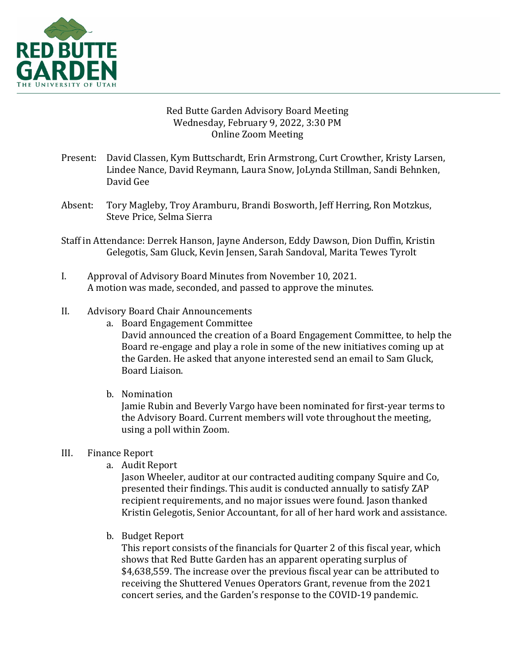

# Red Butte Garden Advisory Board Meeting Wednesday, February 9, 2022, 3:30 PM **Online Zoom Meeting**

- Present: David Classen, Kym Buttschardt, Erin Armstrong, Curt Crowther, Kristy Larsen, Lindee Nance, David Reymann, Laura Snow, JoLynda Stillman, Sandi Behnken, David Gee
- Absent: Tory Magleby, Troy Aramburu, Brandi Bosworth, Jeff Herring, Ron Motzkus, Steve Price, Selma Sierra
- Staff in Attendance: Derrek Hanson, Jayne Anderson, Eddy Dawson, Dion Duffin, Kristin Gelegotis, Sam Gluck, Kevin Jensen, Sarah Sandoval, Marita Tewes Tyrolt
- I. Approval of Advisory Board Minutes from November 10, 2021. A motion was made, seconded, and passed to approve the minutes.

# II. Advisory Board Chair Announcements

- a. Board Engagement Committee David announced the creation of a Board Engagement Committee, to help the Board re-engage and play a role in some of the new initiatives coming up at the Garden. He asked that anyone interested send an email to Sam Gluck, Board Liaison.
- b. Nomination

Jamie Rubin and Beverly Vargo have been nominated for first-year terms to the Advisory Board. Current members will vote throughout the meeting, using a poll within Zoom.

# III. Finance Report

a. Audit Report

Jason Wheeler, auditor at our contracted auditing company Squire and Co, presented their findings. This audit is conducted annually to satisfy ZAP recipient requirements, and no major issues were found. Jason thanked Kristin Gelegotis, Senior Accountant, for all of her hard work and assistance.

b. Budget Report

This report consists of the financials for Quarter 2 of this fiscal year, which shows that Red Butte Garden has an apparent operating surplus of \$4,638,559. The increase over the previous fiscal year can be attributed to receiving the Shuttered Venues Operators Grant, revenue from the 2021 concert series, and the Garden's response to the COVID-19 pandemic.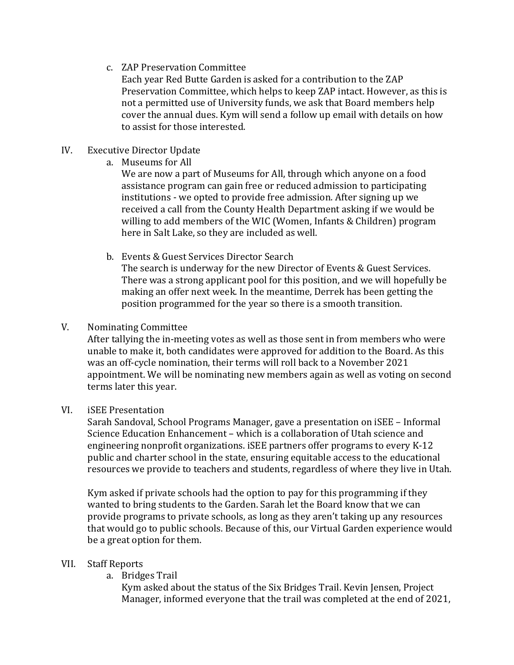c. ZAP Preservation Committee

Each year Red Butte Garden is asked for a contribution to the ZAP Preservation Committee, which helps to keep ZAP intact. However, as this is not a permitted use of University funds, we ask that Board members help cover the annual dues. Kym will send a follow up email with details on how to assist for those interested.

# IV. Executive Director Update

a. Museums for All

We are now a part of Museums for All, through which anyone on a food assistance program can gain free or reduced admission to participating institutions - we opted to provide free admission. After signing up we received a call from the County Health Department asking if we would be willing to add members of the WIC (Women, Infants & Children) program here in Salt Lake, so they are included as well.

b. Events & Guest Services Director Search

The search is underway for the new Director of Events & Guest Services. There was a strong applicant pool for this position, and we will hopefully be making an offer next week. In the meantime, Derrek has been getting the position programmed for the year so there is a smooth transition.

# V. Nominating Committee

After tallying the in-meeting votes as well as those sent in from members who were unable to make it, both candidates were approved for addition to the Board. As this was an off-cycle nomination, their terms will roll back to a November 2021 appointment. We will be nominating new members again as well as voting on second terms later this year.

# VI. iSEE Presentation

Sarah Sandoval, School Programs Manager, gave a presentation on iSEE – Informal Science Education Enhancement - which is a collaboration of Utah science and engineering nonprofit organizations. iSEE partners offer programs to every K-12 public and charter school in the state, ensuring equitable access to the educational resources we provide to teachers and students, regardless of where they live in Utah.

Kym asked if private schools had the option to pay for this programming if they wanted to bring students to the Garden. Sarah let the Board know that we can provide programs to private schools, as long as they aren't taking up any resources that would go to public schools. Because of this, our Virtual Garden experience would be a great option for them.

# VII. Staff Reports

a. Bridges Trail

Kym asked about the status of the Six Bridges Trail. Kevin Jensen, Project Manager, informed everyone that the trail was completed at the end of 2021,